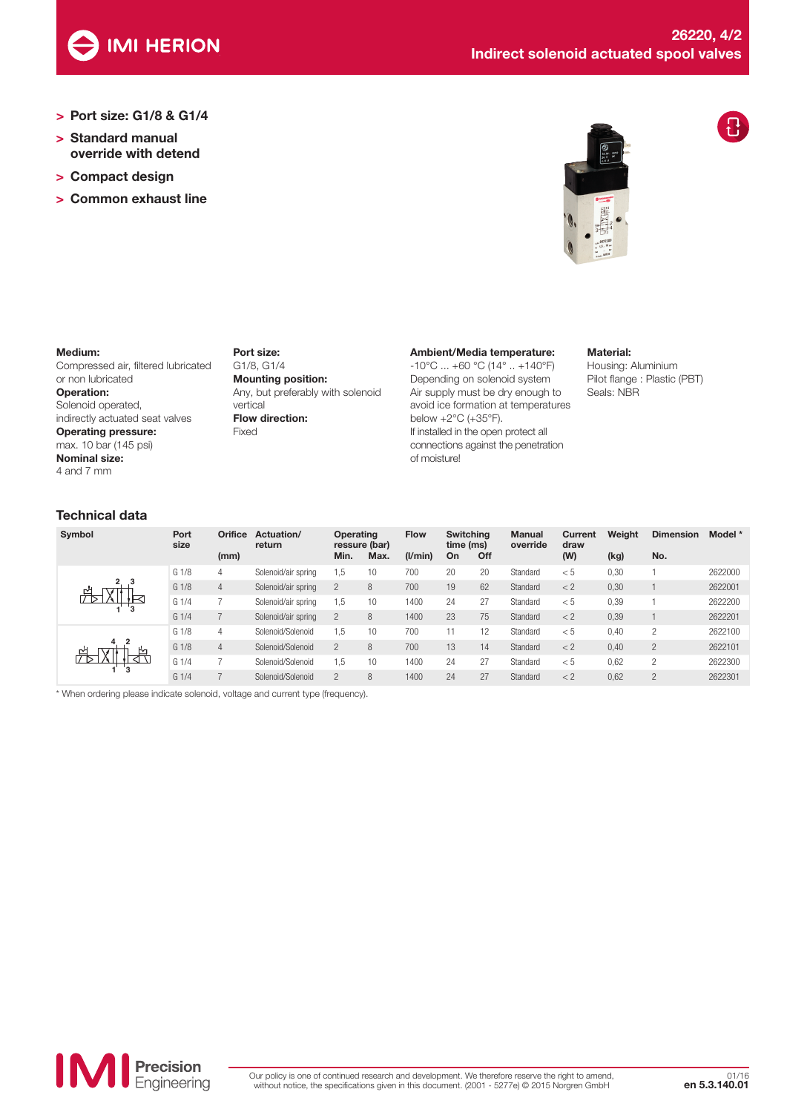

- > Port size: G1/8 & G1/4
- > Standard manual override with detend
- > Compact design
- > Common exhaust line





### Medium:

Compressed air, filtered lubricated or non lubricated Operation: Solenoid operated, indirectly actuated seat valves Operating pressure: max. 10 bar (145 psi) Nominal size: 4 and 7 mm

Port size: G1/8, G1/4 Mounting position: Any, but preferably with solenoid vertical Flow direction: Fixed

## Ambient/Media temperature:

-10°C ... +60 °C (14° .. +140°F) Depending on solenoid system Air supply must be dry enough to avoid ice formation at temperatures below +2°C (+35°F). If installed in the open protect all connections against the penetration of moisture!

#### Material:

Housing: Aluminium Pilot flange : Plastic (PBT) Seals: NBR

## Technical data **1 4**

| Symbol            | Port<br>size     | Orifice        | Actuation/<br>return | Operating<br>ressure (bar) |      | <b>Flow</b> | <b>Switching</b><br>time (ms) |     | <b>Manual</b><br>override | Current<br>draw | Weight | <b>Dimension</b> | Model * |
|-------------------|------------------|----------------|----------------------|----------------------------|------|-------------|-------------------------------|-----|---------------------------|-----------------|--------|------------------|---------|
|                   |                  | (mm)           |                      | Min.                       | Max. | (I/min)     | On                            | Off |                           | (W)             | (kg)   | No.              |         |
|                   | G <sub>1/8</sub> | 4              | Solenoid/air spring  | 1.5                        | 10   | 700         | 20                            | 20  | Standard                  | < 5             | 0,30   |                  | 2622000 |
| ≃<br>4<br>Ŀч<br>≃ | G <sub>1/8</sub> | $\overline{4}$ | Solenoid/air spring  | $\overline{c}$             | 8    | 700         | 19                            | 62  | Standard                  | < 2             | 0,30   |                  | 2622001 |
|                   | G <sub>1/4</sub> |                | Solenoid/air spring  | 1.5                        | 10   | 1400        | 24                            | 27  | Standard                  | < 5             | 0,39   |                  | 2622200 |
|                   | G <sub>1/4</sub> |                | Solenoid/air spring  | $\overline{c}$             | 8    | 1400        | 23                            | 75  | Standard                  | < 2             | 0,39   |                  | 2622201 |
|                   | G <sub>1/8</sub> | 4              | Solenoid/Solenoid    | 1.5                        | 10   | 700         | 11                            | 12  | Standard                  | < 5             | 0,40   | 2                | 2622100 |
|                   | G <sub>1/8</sub> | $\overline{4}$ | Solenoid/Solenoid    | $\overline{c}$             | 8    | 700         | 13                            | 14  | Standard                  | < 2             | 0,40   | $\overline{c}$   | 2622101 |
|                   | G <sub>1/4</sub> |                | Solenoid/Solenoid    | 1.5                        | 10   | 1400        | 24                            | 27  | Standard                  | < 5             | 0,62   | 2                | 2622300 |
|                   | G <sub>1/4</sub> |                | Solenoid/Solenoid    | $\mathfrak{p}$             | 8    | 1400        | 24                            | 27  | Standard                  | < 2             | 0,62   | $\mathcal{D}$    | 2622301 |

\* When ordering please indicate solenoid, voltage and current type (frequency).

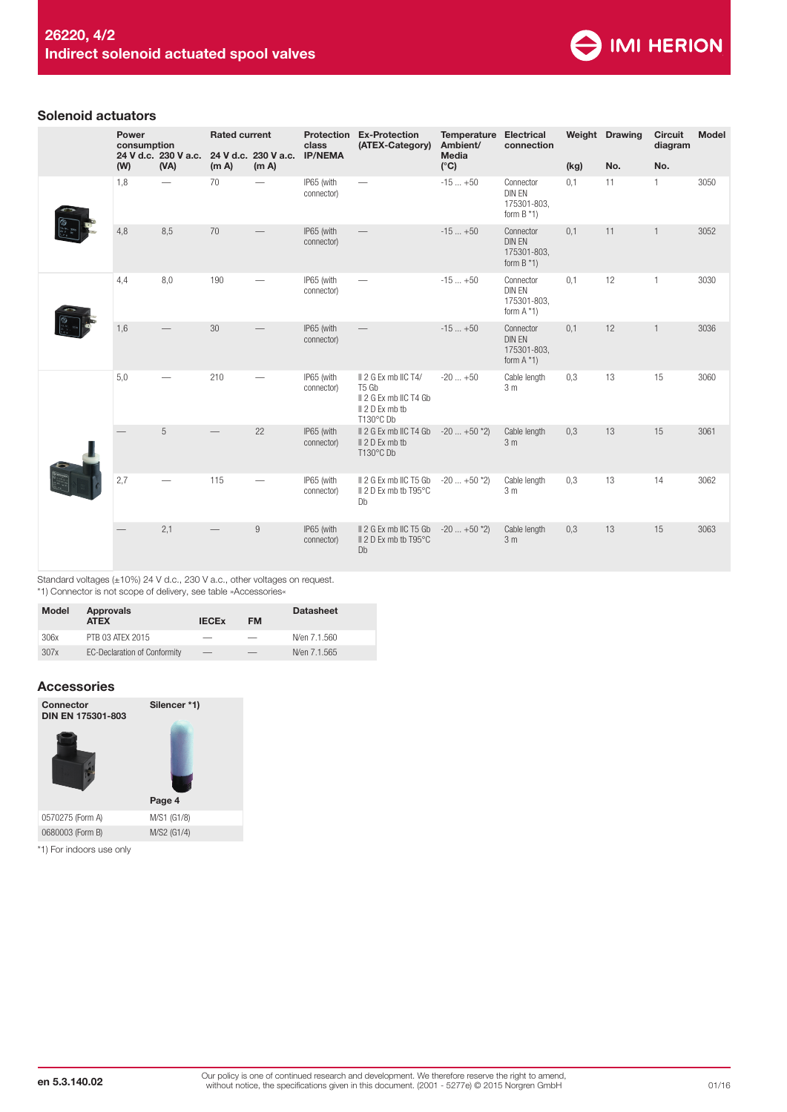

## Solenoid actuators

|  | Power<br>consumption |     |                              | <b>Rated current</b> |                               | Protection<br>class                                    | <b>Ex-Protection</b><br>(ATEX-Category)                                                                         | Temperature<br>Ambient/        | <b>Electrical</b><br>connection                            |      | Weight Drawing | <b>Circuit</b><br>diagram | <b>Model</b> |
|--|----------------------|-----|------------------------------|----------------------|-------------------------------|--------------------------------------------------------|-----------------------------------------------------------------------------------------------------------------|--------------------------------|------------------------------------------------------------|------|----------------|---------------------------|--------------|
|  |                      | (W) | 24 V d.c. 230 V a.c.<br>(VA) | (m A)                | 24 V d.c. 230 V a.c.<br>(m A) | <b>IP/NEMA</b>                                         |                                                                                                                 | Media<br>$(^{\circ}C)$         |                                                            | (kg) | No.            | No.                       |              |
|  |                      | 1,8 |                              | 70                   |                               | IP65 (with<br>connector)                               |                                                                                                                 | $-15+50$                       | Connector<br>DIN EN<br>175301-803,<br>form $B*1$           | 0,1  | 11             | $\mathbf{1}$              | 3050         |
|  |                      | 4,8 | 8,5                          | 70                   |                               | IP65 (with<br>connector)                               |                                                                                                                 | $-15+50$                       | Connector<br>DIN EN<br>175301-803,<br>form $B * 1$         | 0,1  | 11             | $\mathbf{1}$              | 3052         |
|  |                      | 4,4 | 8,0                          | 190                  |                               | IP65 (with<br>connector)                               | $\overline{\phantom{0}}$                                                                                        | $-15+50$                       | Connector<br>DIN EN<br>175301-803,<br>form $A *1$ )        | 0,1  | 12             | $\mathbf{1}$              | 3030         |
|  |                      | 1,6 |                              | 30                   |                               | IP65 (with<br>connector)                               |                                                                                                                 | $-15+50$                       | Connector<br><b>DIN EN</b><br>175301-803,<br>form $A *1$ ) | 0,1  | 12             | $\mathbf{1}$              | 3036         |
|  |                      | 5,0 |                              | 210                  |                               | IP65 (with<br>connector)                               | II 2 G Ex mb IIC T4/<br>T <sub>5</sub> G <sub>b</sub><br>II 2 G Ex mb IIC T4 Gb<br>II 2 D Ex mb tb<br>T130°C Db | $-20+50$                       | Cable length<br>3m                                         | 0,3  | 13             | 15                        | 3060         |
|  |                      | 5   |                              | 22                   | IP65 (with<br>connector)      | II 2 G Ex mb IIC T4 Gb<br>II 2 D Ex mb tb<br>T130°C Db | $-20$ $+50$ *2)                                                                                                 | Cable length<br>3 <sub>m</sub> | 0,3                                                        | 13   | 15             | 3061                      |              |
|  | 2,7                  |     | 115                          |                      | IP65 (with<br>connector)      | II 2 G Ex mb IIC T5 Gb<br>II 2 D Ex mb tb T95°C<br>Db  | $-20  +50 *2$                                                                                                   | Cable length<br>3 <sub>m</sub> | 0,3                                                        | 13   | 14             | 3062                      |              |
|  |                      |     | 2,1                          |                      | $\boldsymbol{9}$              | IP65 (with<br>connector)                               | II 2 G Ex mb IIC T5 Gb<br>II 2 D Ex mb tb T95°C<br>Db                                                           | $-20$ $+50$ *2)                | Cable length<br>3 <sub>m</sub>                             | 0,3  | 13             | 15                        | 3063         |

Standard voltages (±10%) 24 V d.c., 230 V a.c., other voltages on request.

\*1) Connector is not scope of delivery, see table »Accessories«

| <b>Model</b> | Approvals<br><b>ATEX</b>            | <b>IECEX</b> | <b>FM</b> | <b>Datasheet</b> |
|--------------|-------------------------------------|--------------|-----------|------------------|
| 306x         | PTB 03 ATFX 2015                    | __           |           | N/en 7.1.560     |
| 307x         | <b>EC-Declaration of Conformity</b> | $-$          |           | N/en 7.1.565     |

# Accessories



\*1) For indoors use only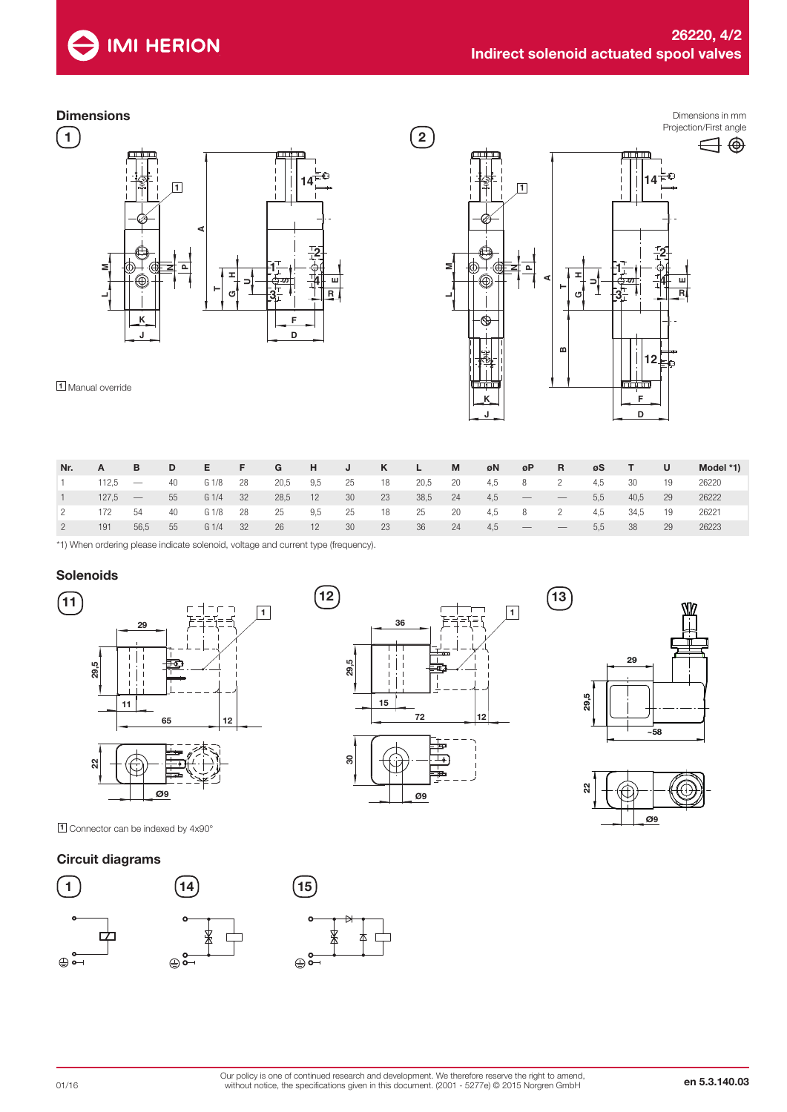

# **Dimensions**

 $\binom{1}{1}$ 



Dimensions in mm Projection/First angle  $\circled{2}$  $\bigoplus$ F. **14 1 2 1 MPN H** ◉ **A4 SEUTR 3 LG**Þ **B12 F K**

 $(13)$ 

1 Manual override

| Nr. | A         | B         | D    | E                | <b>The Finance</b> | G    | H J |      | K –  | $\angle$ L $\angle$ | M    | øΝ    | øP R                     |                                 | øS  | $-1$ . The set of $\sim$ | U    | Model *1) |
|-----|-----------|-----------|------|------------------|--------------------|------|-----|------|------|---------------------|------|-------|--------------------------|---------------------------------|-----|--------------------------|------|-----------|
|     | $112.5 -$ |           | 40   | G <sub>1/8</sub> | - 28               | 20,5 | 9,5 | 25   | 18   | 20,5                | - 20 | 4,5 8 |                          | $\overline{2}$                  | 4.5 | 30                       | - 19 | 26220     |
|     |           | $127.5 -$ | - 55 | G1/4             | 32                 | 28,5 | 12  | - 30 | 23   | 38,5                | 24   | 4,5   | $\overline{\phantom{a}}$ | $\hspace{0.1mm}-\hspace{0.1mm}$ | 5.5 | 40.5                     | - 29 | 26222     |
|     | 172       | 54        | - 40 | G 1/8            | 28                 | 25   | 9,5 | 25   | 18   | 25                  | 20   | 4,5 8 |                          | $\overline{2}$                  | 4.5 | 34,5                     | 19   | 26221     |
|     | 191       | 56.5      | - 55 | G1/4             | 32                 | -26  | 12  | - 30 | - 23 | - 36                | -24  | 4.5   | $\qquad \qquad$          |                                 | 5.5 | 38                       | -29  | 26223     |

**J**

\*1) When ordering please indicate solenoid, voltage and current type (frequency).

# **Solenoids**



1 Connector can be indexed by 4x90°

# Circuit diagrams







**D**



 $\oplus \overset{\mathsf{o}\mathsf{-}}{\mathsf{-}}$